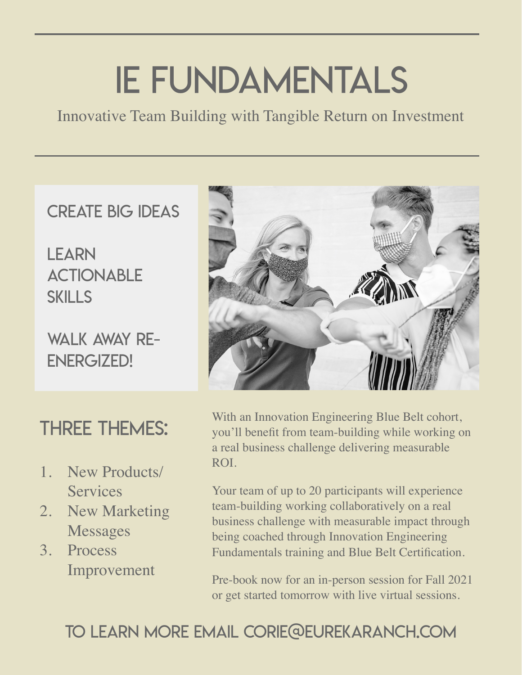## IE Fundamentals

Innovative Team Building with Tangible Return on Investment

#### CREATE BIG IDEAS

LEARN **ACTIONABLE SKILLS** 

WAIK AWAY RF-ENERGIZED!

### THREE THEMES:

- 1. New Products/ **Services**
- 2. New Marketing Messages
- 3. Process Improvement



With an Innovation Engineering Blue Belt cohort, you'll benefit from team-building while working on a real business challenge delivering measurable ROI.

Your team of up to 20 participants will experience team-building working collaboratively on a real business challenge with measurable impact through being coached through Innovation Engineering Fundamentals training and Blue Belt Certification.

Pre-book now for an in-person session for Fall 2021 or get started tomorrow with live virtual sessions.

#### TO LEARN MORE EMAIL CORIE@EUREKARANCH.COM